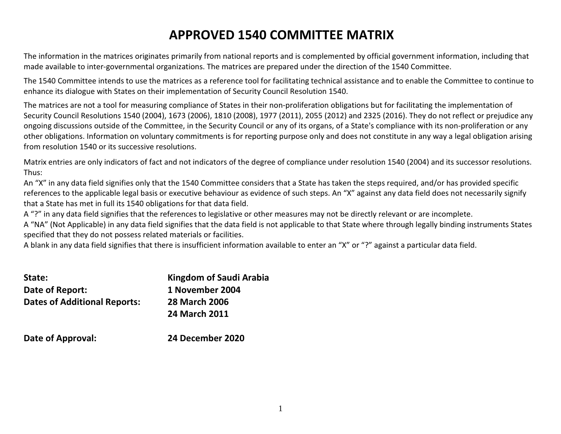# APPROVED 1540 COMMITTEE MATRIX

The information in the matrices originates primarily from national reports and is complemented by official government information, including that made available to inter-governmental organizations. The matrices are prepared under the direction of the 1540 Committee.

The 1540 Committee intends to use the matrices as a reference tool for facilitating technical assistance and to enable the Committee to continue to enhance its dialogue with States on their implementation of Security Council Resolution 1540.

The matrices are not a tool for measuring compliance of States in their non-proliferation obligations but for facilitating the implementation of Security Council Resolutions 1540 (2004), 1673 (2006), 1810 (2008), 1977 (2011), 2055 (2012) and 2325 (2016). They do not reflect or prejudice any ongoing discussions outside of the Committee, in the Security Council or any of its organs, of a State's compliance with its non-proliferation or any other obligations. Information on voluntary commitments is for reporting purpose only and does not constitute in any way a legal obligation arising from resolution 1540 or its successive resolutions.

Matrix entries are only indicators of fact and not indicators of the degree of compliance under resolution 1540 (2004) and its successor resolutions. Thus:

 An "X" in any data field signifies only that the 1540 Committee considers that a State has taken the steps required, and/or has provided specific references to the applicable legal basis or executive behaviour as evidence of such steps. An "X" against any data field does not necessarily signify that a State has met in full its 1540 obligations for that data field.

A "?" in any data field signifies that the references to legislative or other measures may not be directly relevant or are incomplete.

A "NA" (Not Applicable) in any data field signifies that the data field is not applicable to that State where through legally binding instruments States specified that they do not possess related materials or facilities.

A blank in any data field signifies that there is insufficient information available to enter an "X" or "?" against a particular data field.

| State:                              | Kingdom of Saudi Arabia |
|-------------------------------------|-------------------------|
| Date of Report:                     | 1 November 2004         |
| <b>Dates of Additional Reports:</b> | <b>28 March 2006</b>    |
|                                     | <b>24 March 2011</b>    |
| Date of Approval:                   | 24 December 2020        |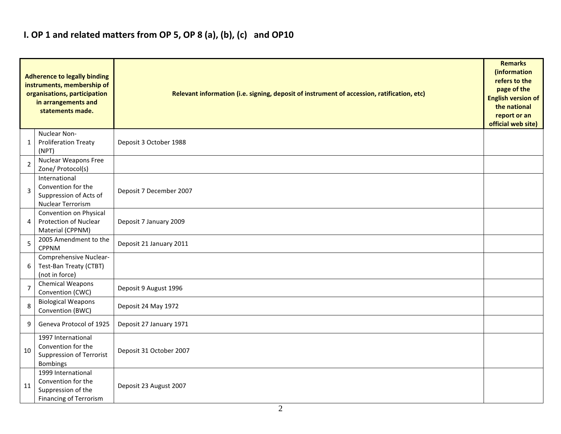#### I. OP 1 and related matters from OP 5, OP 8 (a), (b), (c) and OP10

|                | <b>Adherence to legally binding</b><br>instruments, membership of<br>organisations, participation<br>in arrangements and<br>statements made. | Relevant information (i.e. signing, deposit of instrument of accession, ratification, etc)<br><b>English version of</b> |  |  |  |  |  |  |  |
|----------------|----------------------------------------------------------------------------------------------------------------------------------------------|-------------------------------------------------------------------------------------------------------------------------|--|--|--|--|--|--|--|
| $\mathbf{1}$   | Nuclear Non-<br><b>Proliferation Treaty</b><br>(NPT)                                                                                         | Deposit 3 October 1988                                                                                                  |  |  |  |  |  |  |  |
| $\overline{2}$ | <b>Nuclear Weapons Free</b><br>Zone/ Protocol(s)                                                                                             |                                                                                                                         |  |  |  |  |  |  |  |
| 3              | International<br>Convention for the<br>Suppression of Acts of<br><b>Nuclear Terrorism</b>                                                    | Deposit 7 December 2007                                                                                                 |  |  |  |  |  |  |  |
| 4              | Convention on Physical<br><b>Protection of Nuclear</b><br>Material (CPPNM)                                                                   | Deposit 7 January 2009                                                                                                  |  |  |  |  |  |  |  |
| 5              | 2005 Amendment to the<br><b>CPPNM</b>                                                                                                        | Deposit 21 January 2011                                                                                                 |  |  |  |  |  |  |  |
| 6              | Comprehensive Nuclear-<br>Test-Ban Treaty (CTBT)<br>(not in force)                                                                           |                                                                                                                         |  |  |  |  |  |  |  |
| $\overline{7}$ | <b>Chemical Weapons</b><br>Convention (CWC)                                                                                                  | Deposit 9 August 1996                                                                                                   |  |  |  |  |  |  |  |
| 8              | <b>Biological Weapons</b><br>Convention (BWC)                                                                                                | Deposit 24 May 1972                                                                                                     |  |  |  |  |  |  |  |
| 9              | Geneva Protocol of 1925                                                                                                                      | Deposit 27 January 1971                                                                                                 |  |  |  |  |  |  |  |
| 10             | 1997 International<br>Convention for the<br><b>Suppression of Terrorist</b><br><b>Bombings</b>                                               | Deposit 31 October 2007                                                                                                 |  |  |  |  |  |  |  |
| 11             | 1999 International<br>Convention for the<br>Suppression of the<br><b>Financing of Terrorism</b>                                              | Deposit 23 August 2007                                                                                                  |  |  |  |  |  |  |  |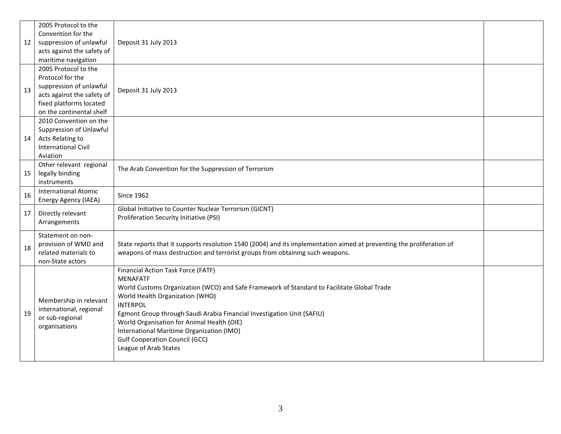|    | 2005 Protocol to the        |                                                                                                                       |  |  |  |  |
|----|-----------------------------|-----------------------------------------------------------------------------------------------------------------------|--|--|--|--|
|    | Convention for the          |                                                                                                                       |  |  |  |  |
| 12 | suppression of unlawful     | Deposit 31 July 2013                                                                                                  |  |  |  |  |
|    | acts against the safety of  |                                                                                                                       |  |  |  |  |
|    | maritime navigation         |                                                                                                                       |  |  |  |  |
|    | 2005 Protocol to the        |                                                                                                                       |  |  |  |  |
|    | Protocol for the            |                                                                                                                       |  |  |  |  |
| 13 | suppression of unlawful     | Deposit 31 July 2013                                                                                                  |  |  |  |  |
|    | acts against the safety of  |                                                                                                                       |  |  |  |  |
|    | fixed platforms located     |                                                                                                                       |  |  |  |  |
|    | on the continental shelf    |                                                                                                                       |  |  |  |  |
|    | 2010 Convention on the      |                                                                                                                       |  |  |  |  |
|    | Suppression of Unlawful     |                                                                                                                       |  |  |  |  |
| 14 | Acts Relating to            |                                                                                                                       |  |  |  |  |
|    | <b>International Civil</b>  |                                                                                                                       |  |  |  |  |
|    | Aviation                    |                                                                                                                       |  |  |  |  |
|    | Other relevant regional     | The Arab Convention for the Suppression of Terrorism                                                                  |  |  |  |  |
| 15 | legally binding             |                                                                                                                       |  |  |  |  |
|    | instruments                 |                                                                                                                       |  |  |  |  |
| 16 | <b>International Atomic</b> | <b>Since 1962</b>                                                                                                     |  |  |  |  |
|    | Energy Agency (IAEA)        |                                                                                                                       |  |  |  |  |
| 17 | Directly relevant           | Global Initiative to Counter Nuclear Terrorism (GICNT)<br>Proliferation Security Initiative (PSI)                     |  |  |  |  |
|    | Arrangements                |                                                                                                                       |  |  |  |  |
|    | Statement on non-           |                                                                                                                       |  |  |  |  |
|    | provision of WMD and        | State reports that it supports resolution 1540 (2004) and its implementation aimed at preventing the proliferation of |  |  |  |  |
| 18 | related materials to        | weapons of mass destruction and terrorist groups from obtaining such weapons.                                         |  |  |  |  |
|    | non-State actors            |                                                                                                                       |  |  |  |  |
|    |                             | Financial Action Task Force (FATF)                                                                                    |  |  |  |  |
|    |                             | <b>MENAFATF</b>                                                                                                       |  |  |  |  |
|    |                             | World Customs Organization (WCO) and Safe Framework of Standard to Facilitate Global Trade                            |  |  |  |  |
|    |                             | World Health Organization (WHO)                                                                                       |  |  |  |  |
|    | Membership in relevant      | <b>INTERPOL</b>                                                                                                       |  |  |  |  |
| 19 | international, regional     | Egmont Group through Saudi Arabia Financial Investigation Unit (SAFIU)                                                |  |  |  |  |
|    | or sub-regional             | World Organisation for Animal Health (OIE)                                                                            |  |  |  |  |
|    | organisations               | International Maritime Organization (IMO)                                                                             |  |  |  |  |
|    |                             | <b>Gulf Cooperation Council (GCC)</b>                                                                                 |  |  |  |  |
|    |                             | League of Arab States                                                                                                 |  |  |  |  |
|    |                             |                                                                                                                       |  |  |  |  |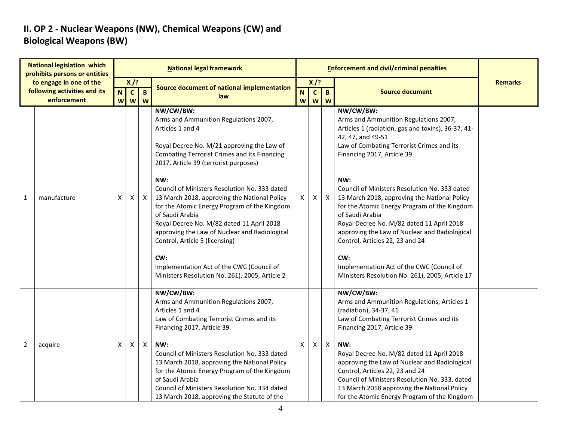# II. OP 2 - Nuclear Weapons (NW), Chemical Weapons (CW) and Biological Weapons (BW)

|                | <b>National legislation which</b><br>prohibits persons or entities | <b>National legal framework</b> |                        |                |                                                                                                                                                                                                                                                                                                                                                                                                                                                                                                                                                                                                                                       |                |                        |                           |                                                                                                                                                                                                                                                                                                                                                                                                                                                                                                                                                                                                                             |                |
|----------------|--------------------------------------------------------------------|---------------------------------|------------------------|----------------|---------------------------------------------------------------------------------------------------------------------------------------------------------------------------------------------------------------------------------------------------------------------------------------------------------------------------------------------------------------------------------------------------------------------------------------------------------------------------------------------------------------------------------------------------------------------------------------------------------------------------------------|----------------|------------------------|---------------------------|-----------------------------------------------------------------------------------------------------------------------------------------------------------------------------------------------------------------------------------------------------------------------------------------------------------------------------------------------------------------------------------------------------------------------------------------------------------------------------------------------------------------------------------------------------------------------------------------------------------------------------|----------------|
|                | to engage in one of the<br>following activities and its            | N                               | $X$ /?<br>$\mathbf{C}$ | $\overline{B}$ | Source document of national implementation                                                                                                                                                                                                                                                                                                                                                                                                                                                                                                                                                                                            | N              | $X$ /?<br>$\mathbf{C}$ | $\mathbf{B}$              | <b>Source document</b>                                                                                                                                                                                                                                                                                                                                                                                                                                                                                                                                                                                                      | <b>Remarks</b> |
|                | enforcement                                                        | W                               | W                      | $\overline{w}$ | law                                                                                                                                                                                                                                                                                                                                                                                                                                                                                                                                                                                                                                   |                |                        | WWW                       |                                                                                                                                                                                                                                                                                                                                                                                                                                                                                                                                                                                                                             |                |
| $\mathbf{1}$   | manufacture                                                        | X                               | X                      | $\mathsf{X}$   | NW/CW/BW:<br>Arms and Ammunition Regulations 2007,<br>Articles 1 and 4<br>Royal Decree No. M/21 approving the Law of<br><b>Combating Terrorist Crimes and its Financing</b><br>2017, Article 39 (terrorist purposes)<br>NW:<br>Council of Ministers Resolution No. 333 dated<br>13 March 2018, approving the National Policy<br>for the Atomic Energy Program of the Kingdom<br>of Saudi Arabia<br>Royal Decree No. M/82 dated 11 April 2018<br>approving the Law of Nuclear and Radiological<br>Control, Article 5 (licensing)<br>CW:<br>Implementation Act of the CWC (Council of<br>Ministers Resolution No. 261), 2005, Article 2 | $\mathsf{X}^-$ | X                      | X                         | NW/CW/BW:<br>Arms and Ammunition Regulations 2007,<br>Articles 1 (radiation, gas and toxins), 36-37, 41-<br>42, 47, and 49-51<br>Law of Combating Terrorist Crimes and its<br>Financing 2017, Article 39<br>NW:<br>Council of Ministers Resolution No. 333 dated<br>13 March 2018, approving the National Policy<br>for the Atomic Energy Program of the Kingdom<br>of Saudi Arabia<br>Royal Decree No. M/82 dated 11 April 2018<br>approving the Law of Nuclear and Radiological<br>Control, Articles 22, 23 and 24<br>CW:<br>Implementation Act of the CWC (Council of<br>Ministers Resolution No. 261), 2005, Article 17 |                |
| $\overline{2}$ | acquire                                                            | X.                              | X                      | $\mathsf{X}$   | NW/CW/BW:<br>Arms and Ammunition Regulations 2007,<br>Articles 1 and 4<br>Law of Combating Terrorist Crimes and its<br>Financing 2017, Article 39<br>NW:<br>Council of Ministers Resolution No. 333 dated<br>13 March 2018, approving the National Policy<br>for the Atomic Energy Program of the Kingdom<br>of Saudi Arabia<br>Council of Ministers Resolution No. 334 dated<br>13 March 2018, approving the Statute of the                                                                                                                                                                                                          | X              | X                      | $\boldsymbol{\mathsf{X}}$ | NW/CW/BW:<br>Arms and Ammunition Regulations, Articles 1<br>(radiation), 34-37, 41<br>Law of Combating Terrorist Crimes and its<br>Financing 2017, Article 39<br>NW:<br>Royal Decree No. M/82 dated 11 April 2018<br>approving the Law of Nuclear and Radiological<br>Control, Articles 22, 23 and 24<br>Council of Ministers Resolution No. 333, dated<br>13 March 2018 approving the National Policy<br>for the Atomic Energy Program of the Kingdom                                                                                                                                                                      |                |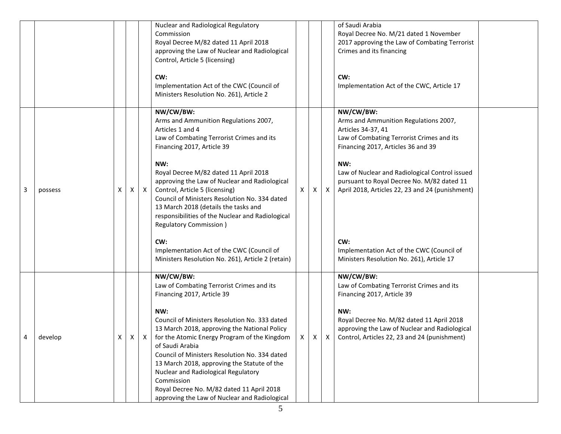|          |         |   |                |              | Nuclear and Radiological Regulatory<br>Commission<br>Royal Decree M/82 dated 11 April 2018<br>approving the Law of Nuclear and Radiological<br>Control, Article 5 (licensing)                                                                                                                                                                                                                                                                                                                                      |   |   |              | of Saudi Arabia<br>Royal Decree No. M/21 dated 1 November<br>2017 approving the Law of Combating Terrorist<br>Crimes and its financing                                                                                                                                                                                       |  |
|----------|---------|---|----------------|--------------|--------------------------------------------------------------------------------------------------------------------------------------------------------------------------------------------------------------------------------------------------------------------------------------------------------------------------------------------------------------------------------------------------------------------------------------------------------------------------------------------------------------------|---|---|--------------|------------------------------------------------------------------------------------------------------------------------------------------------------------------------------------------------------------------------------------------------------------------------------------------------------------------------------|--|
|          |         |   |                |              | CW:<br>Implementation Act of the CWC (Council of<br>Ministers Resolution No. 261), Article 2                                                                                                                                                                                                                                                                                                                                                                                                                       |   |   |              | CW:<br>Implementation Act of the CWC, Article 17                                                                                                                                                                                                                                                                             |  |
| 3        | possess | X | X              | $\mathsf{X}$ | NW/CW/BW:<br>Arms and Ammunition Regulations 2007,<br>Articles 1 and 4<br>Law of Combating Terrorist Crimes and its<br>Financing 2017, Article 39<br>NW:<br>Royal Decree M/82 dated 11 April 2018<br>approving the Law of Nuclear and Radiological<br>Control, Article 5 (licensing)<br>Council of Ministers Resolution No. 334 dated<br>13 March 2018 (details the tasks and<br>responsibilities of the Nuclear and Radiological<br><b>Regulatory Commission</b> )<br>CW:                                         | X | X | $\mathsf{X}$ | NW/CW/BW:<br>Arms and Ammunition Regulations 2007,<br>Articles 34-37, 41<br>Law of Combating Terrorist Crimes and its<br>Financing 2017, Articles 36 and 39<br>NW:<br>Law of Nuclear and Radiological Control issued<br>pursuant to Royal Decree No. M/82 dated 11<br>April 2018, Articles 22, 23 and 24 (punishment)<br>CW: |  |
|          |         |   |                |              | Implementation Act of the CWC (Council of<br>Ministers Resolution No. 261), Article 2 (retain)                                                                                                                                                                                                                                                                                                                                                                                                                     |   |   |              | Implementation Act of the CWC (Council of<br>Ministers Resolution No. 261), Article 17                                                                                                                                                                                                                                       |  |
| $\Delta$ | develop | X | $\mathsf{X}^-$ | $\mathsf{X}$ | NW/CW/BW:<br>Law of Combating Terrorist Crimes and its<br>Financing 2017, Article 39<br>NW:<br>Council of Ministers Resolution No. 333 dated<br>13 March 2018, approving the National Policy<br>for the Atomic Energy Program of the Kingdom<br>of Saudi Arabia<br>Council of Ministers Resolution No. 334 dated<br>13 March 2018, approving the Statute of the<br>Nuclear and Radiological Regulatory<br>Commission<br>Royal Decree No. M/82 dated 11 April 2018<br>approving the Law of Nuclear and Radiological |   |   |              | NW/CW/BW:<br>Law of Combating Terrorist Crimes and its<br>Financing 2017, Article 39<br>NW:<br>Royal Decree No. M/82 dated 11 April 2018<br>approving the Law of Nuclear and Radiological<br>$X \mid X \mid X$ Control, Articles 22, 23 and 24 (punishment)                                                                  |  |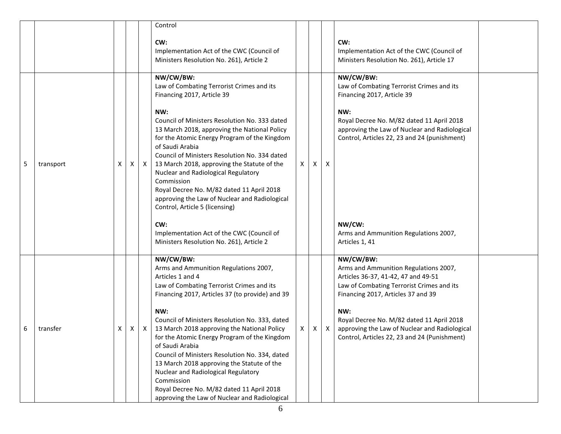|   |           |   |   |              | Control                                                                                                                                                                                                                                                                                                                                                                                                                                                                                                                                                                                              |    |   |   |                                                                                                                                                                                                                                                                                                                                   |  |
|---|-----------|---|---|--------------|------------------------------------------------------------------------------------------------------------------------------------------------------------------------------------------------------------------------------------------------------------------------------------------------------------------------------------------------------------------------------------------------------------------------------------------------------------------------------------------------------------------------------------------------------------------------------------------------------|----|---|---|-----------------------------------------------------------------------------------------------------------------------------------------------------------------------------------------------------------------------------------------------------------------------------------------------------------------------------------|--|
|   |           |   |   |              | CW:<br>Implementation Act of the CWC (Council of<br>Ministers Resolution No. 261), Article 2                                                                                                                                                                                                                                                                                                                                                                                                                                                                                                         |    |   |   | CW:<br>Implementation Act of the CWC (Council of<br>Ministers Resolution No. 261), Article 17                                                                                                                                                                                                                                     |  |
|   |           |   |   |              | NW/CW/BW:<br>Law of Combating Terrorist Crimes and its<br>Financing 2017, Article 39                                                                                                                                                                                                                                                                                                                                                                                                                                                                                                                 |    |   |   | NW/CW/BW:<br>Law of Combating Terrorist Crimes and its<br>Financing 2017, Article 39                                                                                                                                                                                                                                              |  |
| 5 | transport | x |   | $X \mid X$   | NW:<br>Council of Ministers Resolution No. 333 dated<br>13 March 2018, approving the National Policy<br>for the Atomic Energy Program of the Kingdom<br>of Saudi Arabia<br>Council of Ministers Resolution No. 334 dated<br>13 March 2018, approving the Statute of the<br>Nuclear and Radiological Regulatory<br>Commission<br>Royal Decree No. M/82 dated 11 April 2018<br>approving the Law of Nuclear and Radiological<br>Control, Article 5 (licensing)                                                                                                                                         | X  | X | X | NW:<br>Royal Decree No. M/82 dated 11 April 2018<br>approving the Law of Nuclear and Radiological<br>Control, Articles 22, 23 and 24 (punishment)                                                                                                                                                                                 |  |
|   |           |   |   |              | CW:<br>Implementation Act of the CWC (Council of<br>Ministers Resolution No. 261), Article 2                                                                                                                                                                                                                                                                                                                                                                                                                                                                                                         |    |   |   | NW/CW:<br>Arms and Ammunition Regulations 2007,<br>Articles 1, 41                                                                                                                                                                                                                                                                 |  |
| 6 | transfer  | X | X | $\mathsf{X}$ | NW/CW/BW:<br>Arms and Ammunition Regulations 2007,<br>Articles 1 and 4<br>Law of Combating Terrorist Crimes and its<br>Financing 2017, Articles 37 (to provide) and 39<br>NW:<br>Council of Ministers Resolution No. 333, dated<br>13 March 2018 approving the National Policy<br>for the Atomic Energy Program of the Kingdom<br>of Saudi Arabia<br>Council of Ministers Resolution No. 334, dated<br>13 March 2018 approving the Statute of the<br>Nuclear and Radiological Regulatory<br>Commission<br>Royal Decree No. M/82 dated 11 April 2018<br>approving the Law of Nuclear and Radiological | X. | X | X | NW/CW/BW:<br>Arms and Ammunition Regulations 2007,<br>Articles 36-37, 41-42, 47 and 49-51<br>Law of Combating Terrorist Crimes and its<br>Financing 2017, Articles 37 and 39<br>NW:<br>Royal Decree No. M/82 dated 11 April 2018<br>approving the Law of Nuclear and Radiological<br>Control, Articles 22, 23 and 24 (Punishment) |  |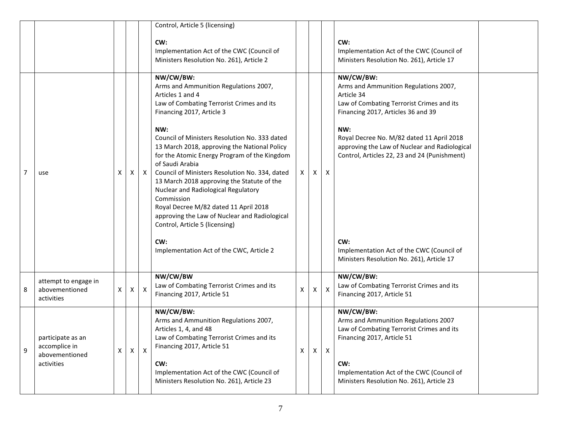|   |                                                                    |              |              |              | Control, Article 5 (licensing)                                                                                                                                                                                                                                                                                                                                                                                                                                                                                                                                                                                                                                  |   |              |                           |                                                                                                                                                                                                                                                                                                                                                                                                           |  |
|---|--------------------------------------------------------------------|--------------|--------------|--------------|-----------------------------------------------------------------------------------------------------------------------------------------------------------------------------------------------------------------------------------------------------------------------------------------------------------------------------------------------------------------------------------------------------------------------------------------------------------------------------------------------------------------------------------------------------------------------------------------------------------------------------------------------------------------|---|--------------|---------------------------|-----------------------------------------------------------------------------------------------------------------------------------------------------------------------------------------------------------------------------------------------------------------------------------------------------------------------------------------------------------------------------------------------------------|--|
|   |                                                                    |              |              |              | CW:<br>Implementation Act of the CWC (Council of<br>Ministers Resolution No. 261), Article 2                                                                                                                                                                                                                                                                                                                                                                                                                                                                                                                                                                    |   |              |                           | CW:<br>Implementation Act of the CWC (Council of<br>Ministers Resolution No. 261), Article 17                                                                                                                                                                                                                                                                                                             |  |
| 7 | use                                                                | X.           | X            | $\mathsf{X}$ | NW/CW/BW:<br>Arms and Ammunition Regulations 2007,<br>Articles 1 and 4<br>Law of Combating Terrorist Crimes and its<br>Financing 2017, Article 3<br>NW:<br>Council of Ministers Resolution No. 333 dated<br>13 March 2018, approving the National Policy<br>for the Atomic Energy Program of the Kingdom<br>of Saudi Arabia<br>Council of Ministers Resolution No. 334, dated<br>13 March 2018 approving the Statute of the<br>Nuclear and Radiological Regulatory<br>Commission<br>Royal Decree M/82 dated 11 April 2018<br>approving the Law of Nuclear and Radiological<br>Control, Article 5 (licensing)<br>CW:<br>Implementation Act of the CWC, Article 2 | X | $\mathsf{X}$ | X                         | NW/CW/BW:<br>Arms and Ammunition Regulations 2007,<br>Article 34<br>Law of Combating Terrorist Crimes and its<br>Financing 2017, Articles 36 and 39<br>NW:<br>Royal Decree No. M/82 dated 11 April 2018<br>approving the Law of Nuclear and Radiological<br>Control, Articles 22, 23 and 24 (Punishment)<br>CW:<br>Implementation Act of the CWC (Council of<br>Ministers Resolution No. 261), Article 17 |  |
| 8 | attempt to engage in<br>abovementioned<br>activities               | $\mathsf{X}$ | X            | X            | NW/CW/BW<br>Law of Combating Terrorist Crimes and its<br>Financing 2017, Article 51                                                                                                                                                                                                                                                                                                                                                                                                                                                                                                                                                                             | X | X.           | $\boldsymbol{\mathsf{X}}$ | NW/CW/BW:<br>Law of Combating Terrorist Crimes and its<br>Financing 2017, Article 51                                                                                                                                                                                                                                                                                                                      |  |
| 9 | participate as an<br>accomplice in<br>abovementioned<br>activities | $\mathsf{X}$ | $\mathsf{X}$ | X            | NW/CW/BW:<br>Arms and Ammunition Regulations 2007,<br>Articles 1, 4, and 48<br>Law of Combating Terrorist Crimes and its<br>Financing 2017, Article 51<br>CW:<br>Implementation Act of the CWC (Council of<br>Ministers Resolution No. 261), Article 23                                                                                                                                                                                                                                                                                                                                                                                                         | X | $\mathsf{X}$ | $\mathsf{X}$              | NW/CW/BW:<br>Arms and Ammunition Regulations 2007<br>Law of Combating Terrorist Crimes and its<br>Financing 2017, Article 51<br>CW:<br>Implementation Act of the CWC (Council of<br>Ministers Resolution No. 261), Article 23                                                                                                                                                                             |  |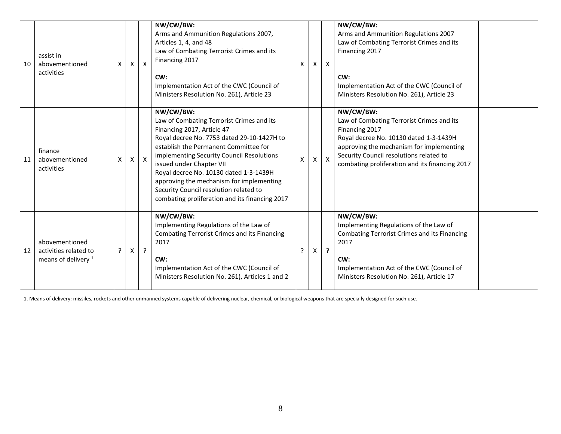| 10 | assist in<br>abovementioned<br>activities                                 | X       | X | X              | NW/CW/BW:<br>Arms and Ammunition Regulations 2007,<br>Articles 1, 4, and 48<br>Law of Combating Terrorist Crimes and its<br>Financing 2017<br>CW:<br>Implementation Act of the CWC (Council of<br>Ministers Resolution No. 261), Article 23                                                                                                                                                                                            | X | X | $\mathsf{X}$ | NW/CW/BW:<br>Arms and Ammunition Regulations 2007<br>Law of Combating Terrorist Crimes and its<br>Financing 2017<br>CW:<br>Implementation Act of the CWC (Council of<br>Ministers Resolution No. 261), Article 23                                           |
|----|---------------------------------------------------------------------------|---------|---|----------------|----------------------------------------------------------------------------------------------------------------------------------------------------------------------------------------------------------------------------------------------------------------------------------------------------------------------------------------------------------------------------------------------------------------------------------------|---|---|--------------|-------------------------------------------------------------------------------------------------------------------------------------------------------------------------------------------------------------------------------------------------------------|
| 11 | finance<br>abovementioned<br>activities                                   | X       | X | $\mathsf{X}$   | NW/CW/BW:<br>Law of Combating Terrorist Crimes and its<br>Financing 2017, Article 47<br>Royal decree No. 7753 dated 29-10-1427H to<br>establish the Permanent Committee for<br>implementing Security Council Resolutions<br>issued under Chapter VII<br>Royal decree No. 10130 dated 1-3-1439H<br>approving the mechanism for implementing<br>Security Council resolution related to<br>combating proliferation and its financing 2017 | X | X | $\mathsf{X}$ | NW/CW/BW:<br>Law of Combating Terrorist Crimes and its<br>Financing 2017<br>Royal decree No. 10130 dated 1-3-1439H<br>approving the mechanism for implementing<br>Security Council resolutions related to<br>combating proliferation and its financing 2017 |
| 12 | abovementioned<br>activities related to<br>means of delivery <sup>1</sup> | $\cdot$ | X | $\overline{?}$ | NW/CW/BW:<br>Implementing Regulations of the Law of<br><b>Combating Terrorist Crimes and its Financing</b><br>2017<br>CW:<br>Implementation Act of the CWC (Council of<br>Ministers Resolution No. 261), Articles 1 and 2                                                                                                                                                                                                              | 7 | X | $\cdot$      | NW/CW/BW:<br>Implementing Regulations of the Law of<br><b>Combating Terrorist Crimes and its Financing</b><br>2017<br>CW:<br>Implementation Act of the CWC (Council of<br>Ministers Resolution No. 261), Article 17                                         |

1. Means of delivery: missiles, rockets and other unmanned systems capable of delivering nuclear, chemical, or biological weapons that are specially designed for such use.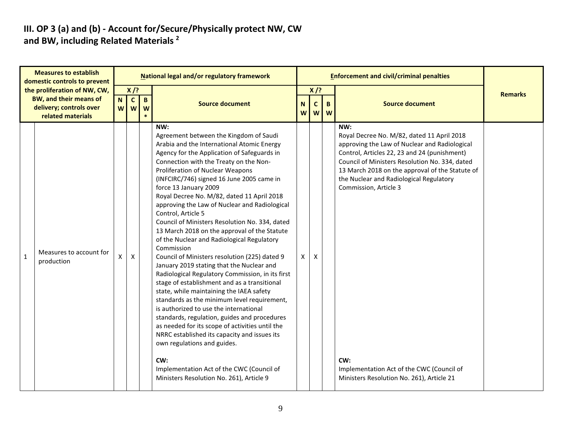# III. OP 3 (a) and (b) - Account for/Secure/Physically protect NW, CW<br>and BW, including Related Materials <sup>2</sup>

|   | <b>Measures to establish</b><br>domestic controls to prevent                                                  |                       |              |                   | National legal and/or regulatory framework                                                                                                                                                                                                                                                                                                                                                                                                                                                                                                                                                                                                                                                                                                                                                                                                                                                                                                                                                                                                                                                                                                                                                                 |   |                           |                       | <b>Enforcement and civil/criminal penalties</b>                                                                                                                                                                                                                                                                                                                                                                              |                |
|---|---------------------------------------------------------------------------------------------------------------|-----------------------|--------------|-------------------|------------------------------------------------------------------------------------------------------------------------------------------------------------------------------------------------------------------------------------------------------------------------------------------------------------------------------------------------------------------------------------------------------------------------------------------------------------------------------------------------------------------------------------------------------------------------------------------------------------------------------------------------------------------------------------------------------------------------------------------------------------------------------------------------------------------------------------------------------------------------------------------------------------------------------------------------------------------------------------------------------------------------------------------------------------------------------------------------------------------------------------------------------------------------------------------------------------|---|---------------------------|-----------------------|------------------------------------------------------------------------------------------------------------------------------------------------------------------------------------------------------------------------------------------------------------------------------------------------------------------------------------------------------------------------------------------------------------------------------|----------------|
|   | the proliferation of NW, CW,<br><b>BW, and their means of</b><br>delivery; controls over<br>related materials | N C<br>W <sub>l</sub> | $X$ /?<br>W  | $\mathbf{B}$<br>W | <b>Source document</b>                                                                                                                                                                                                                                                                                                                                                                                                                                                                                                                                                                                                                                                                                                                                                                                                                                                                                                                                                                                                                                                                                                                                                                                     | N | $X$ /?<br>$\mathbf{C}$    | $\mathbf{B}$<br>w w w | <b>Source document</b>                                                                                                                                                                                                                                                                                                                                                                                                       | <b>Remarks</b> |
| 1 | Measures to account for<br>production                                                                         | X                     | $\mathsf{X}$ |                   | NW:<br>Agreement between the Kingdom of Saudi<br>Arabia and the International Atomic Energy<br>Agency for the Application of Safeguards in<br>Connection with the Treaty on the Non-<br>Proliferation of Nuclear Weapons<br>(INFCIRC/746) signed 16 June 2005 came in<br>force 13 January 2009<br>Royal Decree No. M/82, dated 11 April 2018<br>approving the Law of Nuclear and Radiological<br>Control, Article 5<br>Council of Ministers Resolution No. 334, dated<br>13 March 2018 on the approval of the Statute<br>of the Nuclear and Radiological Regulatory<br>Commission<br>Council of Ministers resolution (225) dated 9<br>January 2019 stating that the Nuclear and<br>Radiological Regulatory Commission, in its first<br>stage of establishment and as a transitional<br>state, while maintaining the IAEA safety<br>standards as the minimum level requirement,<br>is authorized to use the international<br>standards, regulation, guides and procedures<br>as needed for its scope of activities until the<br>NRRC established its capacity and issues its<br>own regulations and guides.<br>CW:<br>Implementation Act of the CWC (Council of<br>Ministers Resolution No. 261), Article 9 | X | $\boldsymbol{\mathsf{X}}$ |                       | NW:<br>Royal Decree No. M/82, dated 11 April 2018<br>approving the Law of Nuclear and Radiological<br>Control, Articles 22, 23 and 24 (punishment)<br>Council of Ministers Resolution No. 334, dated<br>13 March 2018 on the approval of the Statute of<br>the Nuclear and Radiological Regulatory<br>Commission, Article 3<br>CW:<br>Implementation Act of the CWC (Council of<br>Ministers Resolution No. 261), Article 21 |                |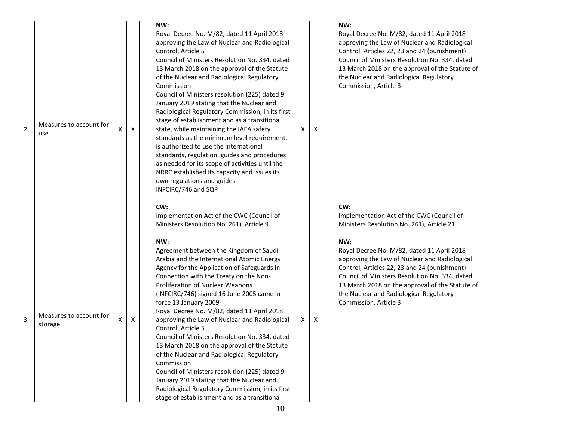| $\overline{2}$ | Measures to account for<br>use     | X | $\mathsf{X}$ | NW:<br>Royal Decree No. M/82, dated 11 April 2018<br>approving the Law of Nuclear and Radiological<br>Control, Article 5<br>Council of Ministers Resolution No. 334, dated<br>13 March 2018 on the approval of the Statute<br>of the Nuclear and Radiological Regulatory<br>Commission<br>Council of Ministers resolution (225) dated 9<br>January 2019 stating that the Nuclear and<br>Radiological Regulatory Commission, in its first<br>stage of establishment and as a transitional<br>state, while maintaining the IAEA safety<br>standards as the minimum level requirement,<br>is authorized to use the international<br>standards, regulation, guides and procedures<br>as needed for its scope of activities until the<br>NRRC established its capacity and issues its<br>own regulations and guides.<br>INFCIRC/746 and SQP<br>CW:<br>Implementation Act of the CWC (Council of<br>Ministers Resolution No. 261), Article 9 | Χ |   | NW:<br>Royal Decree No. M/82, dated 11 April 2018<br>approving the Law of Nuclear and Radiological<br>Control, Articles 22, 23 and 24 (punishment)<br>Council of Ministers Resolution No. 334, dated<br>13 March 2018 on the approval of the Statute of<br>the Nuclear and Radiological Regulatory<br>Commission, Article 3<br>CW:<br>Implementation Act of the CWC (Council of<br>Ministers Resolution No. 261), Article 21 |  |
|----------------|------------------------------------|---|--------------|----------------------------------------------------------------------------------------------------------------------------------------------------------------------------------------------------------------------------------------------------------------------------------------------------------------------------------------------------------------------------------------------------------------------------------------------------------------------------------------------------------------------------------------------------------------------------------------------------------------------------------------------------------------------------------------------------------------------------------------------------------------------------------------------------------------------------------------------------------------------------------------------------------------------------------------|---|---|------------------------------------------------------------------------------------------------------------------------------------------------------------------------------------------------------------------------------------------------------------------------------------------------------------------------------------------------------------------------------------------------------------------------------|--|
| 3              | Measures to account for<br>storage | х | X            | NW:<br>Agreement between the Kingdom of Saudi<br>Arabia and the International Atomic Energy<br>Agency for the Application of Safeguards in<br>Connection with the Treaty on the Non-<br>Proliferation of Nuclear Weapons<br>(INFCIRC/746) signed 16 June 2005 came in<br>force 13 January 2009<br>Royal Decree No. M/82, dated 11 April 2018<br>approving the Law of Nuclear and Radiological<br>Control, Article 5<br>Council of Ministers Resolution No. 334, dated<br>13 March 2018 on the approval of the Statute<br>of the Nuclear and Radiological Regulatory<br>Commission<br>Council of Ministers resolution (225) dated 9<br>January 2019 stating that the Nuclear and<br>Radiological Regulatory Commission, in its first<br>stage of establishment and as a transitional                                                                                                                                                    | X | X | NW:<br>Royal Decree No. M/82, dated 11 April 2018<br>approving the Law of Nuclear and Radiological<br>Control, Articles 22, 23 and 24 (punishment)<br>Council of Ministers Resolution No. 334, dated<br>13 March 2018 on the approval of the Statute of<br>the Nuclear and Radiological Regulatory<br>Commission, Article 3                                                                                                  |  |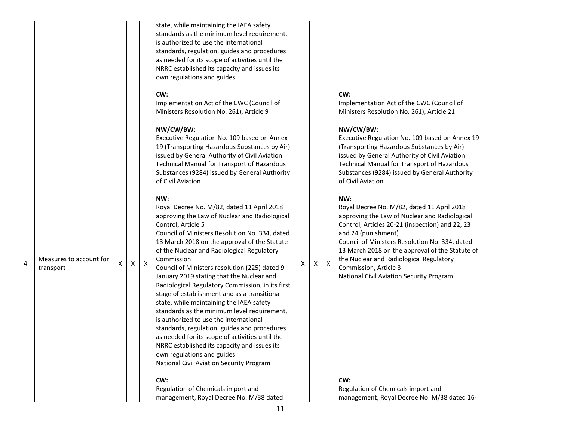|   |                                      |                    |                    |              | state, while maintaining the IAEA safety<br>standards as the minimum level requirement,<br>is authorized to use the international<br>standards, regulation, guides and procedures<br>as needed for its scope of activities until the<br>NRRC established its capacity and issues its<br>own regulations and guides.<br>CW:<br>Implementation Act of the CWC (Council of<br>Ministers Resolution No. 261), Article 9                                                                                                                                                                                                                                                                                                                                                                                                                                                                                                                                                                                                                                                                                                                                                                                                                           |   |   |              | CW:<br>Implementation Act of the CWC (Council of<br>Ministers Resolution No. 261), Article 21                                                                                                                                                                                                                                                                                                                                                                                                                                                                                                                                                                                                                                                                                    |  |
|---|--------------------------------------|--------------------|--------------------|--------------|-----------------------------------------------------------------------------------------------------------------------------------------------------------------------------------------------------------------------------------------------------------------------------------------------------------------------------------------------------------------------------------------------------------------------------------------------------------------------------------------------------------------------------------------------------------------------------------------------------------------------------------------------------------------------------------------------------------------------------------------------------------------------------------------------------------------------------------------------------------------------------------------------------------------------------------------------------------------------------------------------------------------------------------------------------------------------------------------------------------------------------------------------------------------------------------------------------------------------------------------------|---|---|--------------|----------------------------------------------------------------------------------------------------------------------------------------------------------------------------------------------------------------------------------------------------------------------------------------------------------------------------------------------------------------------------------------------------------------------------------------------------------------------------------------------------------------------------------------------------------------------------------------------------------------------------------------------------------------------------------------------------------------------------------------------------------------------------------|--|
| 4 | Measures to account for<br>transport | $\pmb{\mathsf{X}}$ | $\pmb{\mathsf{X}}$ | $\mathsf{X}$ | NW/CW/BW:<br>Executive Regulation No. 109 based on Annex<br>19 (Transporting Hazardous Substances by Air)<br>issued by General Authority of Civil Aviation<br>Technical Manual for Transport of Hazardous<br>Substances (9284) issued by General Authority<br>of Civil Aviation<br>NW:<br>Royal Decree No. M/82, dated 11 April 2018<br>approving the Law of Nuclear and Radiological<br>Control, Article 5<br>Council of Ministers Resolution No. 334, dated<br>13 March 2018 on the approval of the Statute<br>of the Nuclear and Radiological Regulatory<br>Commission<br>Council of Ministers resolution (225) dated 9<br>January 2019 stating that the Nuclear and<br>Radiological Regulatory Commission, in its first<br>stage of establishment and as a transitional<br>state, while maintaining the IAEA safety<br>standards as the minimum level requirement,<br>is authorized to use the international<br>standards, regulation, guides and procedures<br>as needed for its scope of activities until the<br>NRRC established its capacity and issues its<br>own regulations and guides.<br><b>National Civil Aviation Security Program</b><br>CW:<br>Regulation of Chemicals import and<br>management, Royal Decree No. M/38 dated | X | X | $\mathsf{X}$ | NW/CW/BW:<br>Executive Regulation No. 109 based on Annex 19<br>(Transporting Hazardous Substances by Air)<br>issued by General Authority of Civil Aviation<br>Technical Manual for Transport of Hazardous<br>Substances (9284) issued by General Authority<br>of Civil Aviation<br>NW:<br>Royal Decree No. M/82, dated 11 April 2018<br>approving the Law of Nuclear and Radiological<br>Control, Articles 20-21 (inspection) and 22, 23<br>and 24 (punishment)<br>Council of Ministers Resolution No. 334, dated<br>13 March 2018 on the approval of the Statute of<br>the Nuclear and Radiological Regulatory<br>Commission, Article 3<br>National Civil Aviation Security Program<br>CW:<br>Regulation of Chemicals import and<br>management, Royal Decree No. M/38 dated 16- |  |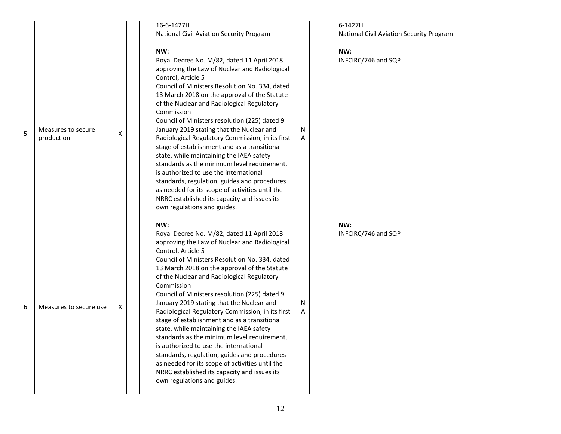|   |                                  |   | 16-6-1427H                                                                                                                                                                                                                                                                                                                                                                                                                                                                                                                                                                                                                                                                                                                                                                                                      |        | 6-1427H                                  |  |
|---|----------------------------------|---|-----------------------------------------------------------------------------------------------------------------------------------------------------------------------------------------------------------------------------------------------------------------------------------------------------------------------------------------------------------------------------------------------------------------------------------------------------------------------------------------------------------------------------------------------------------------------------------------------------------------------------------------------------------------------------------------------------------------------------------------------------------------------------------------------------------------|--------|------------------------------------------|--|
|   |                                  |   | <b>National Civil Aviation Security Program</b>                                                                                                                                                                                                                                                                                                                                                                                                                                                                                                                                                                                                                                                                                                                                                                 |        | National Civil Aviation Security Program |  |
|   |                                  |   |                                                                                                                                                                                                                                                                                                                                                                                                                                                                                                                                                                                                                                                                                                                                                                                                                 |        |                                          |  |
| 5 | Measures to secure<br>production | x | NW:<br>Royal Decree No. M/82, dated 11 April 2018<br>approving the Law of Nuclear and Radiological<br>Control, Article 5<br>Council of Ministers Resolution No. 334, dated<br>13 March 2018 on the approval of the Statute<br>of the Nuclear and Radiological Regulatory<br>Commission<br>Council of Ministers resolution (225) dated 9<br>January 2019 stating that the Nuclear and<br>Radiological Regulatory Commission, in its first<br>stage of establishment and as a transitional<br>state, while maintaining the IAEA safety<br>standards as the minimum level requirement,<br>is authorized to use the international<br>standards, regulation, guides and procedures<br>as needed for its scope of activities until the<br>NRRC established its capacity and issues its<br>own regulations and guides. | N<br>A | NW:<br>INFCIRC/746 and SQP               |  |
| 6 | Measures to secure use           | X | NW:<br>Royal Decree No. M/82, dated 11 April 2018<br>approving the Law of Nuclear and Radiological<br>Control, Article 5<br>Council of Ministers Resolution No. 334, dated<br>13 March 2018 on the approval of the Statute<br>of the Nuclear and Radiological Regulatory<br>Commission<br>Council of Ministers resolution (225) dated 9<br>January 2019 stating that the Nuclear and<br>Radiological Regulatory Commission, in its first<br>stage of establishment and as a transitional<br>state, while maintaining the IAEA safety<br>standards as the minimum level requirement,<br>is authorized to use the international<br>standards, regulation, guides and procedures<br>as needed for its scope of activities until the<br>NRRC established its capacity and issues its<br>own regulations and guides. | N<br>A | NW:<br>INFCIRC/746 and SQP               |  |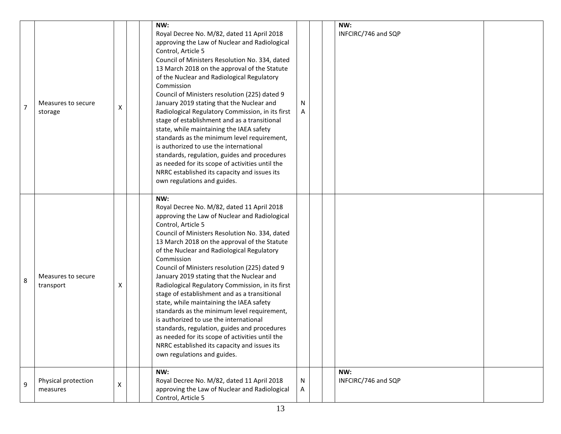| $\overline{7}$ | Measures to secure<br>storage   | Χ | NW:<br>Royal Decree No. M/82, dated 11 April 2018<br>approving the Law of Nuclear and Radiological<br>Control, Article 5<br>Council of Ministers Resolution No. 334, dated<br>13 March 2018 on the approval of the Statute<br>of the Nuclear and Radiological Regulatory<br>Commission<br>Council of Ministers resolution (225) dated 9<br>January 2019 stating that the Nuclear and<br>Radiological Regulatory Commission, in its first<br>stage of establishment and as a transitional<br>state, while maintaining the IAEA safety<br>standards as the minimum level requirement,<br>is authorized to use the international<br>standards, regulation, guides and procedures<br>as needed for its scope of activities until the<br>NRRC established its capacity and issues its<br>own regulations and guides. | N      | NW:<br>INFCIRC/746 and SQP |  |
|----------------|---------------------------------|---|-----------------------------------------------------------------------------------------------------------------------------------------------------------------------------------------------------------------------------------------------------------------------------------------------------------------------------------------------------------------------------------------------------------------------------------------------------------------------------------------------------------------------------------------------------------------------------------------------------------------------------------------------------------------------------------------------------------------------------------------------------------------------------------------------------------------|--------|----------------------------|--|
| 8              | Measures to secure<br>transport | Χ | NW:<br>Royal Decree No. M/82, dated 11 April 2018<br>approving the Law of Nuclear and Radiological<br>Control, Article 5<br>Council of Ministers Resolution No. 334, dated<br>13 March 2018 on the approval of the Statute<br>of the Nuclear and Radiological Regulatory<br>Commission<br>Council of Ministers resolution (225) dated 9<br>January 2019 stating that the Nuclear and<br>Radiological Regulatory Commission, in its first<br>stage of establishment and as a transitional<br>state, while maintaining the IAEA safety<br>standards as the minimum level requirement,<br>is authorized to use the international<br>standards, regulation, guides and procedures<br>as needed for its scope of activities until the<br>NRRC established its capacity and issues its<br>own regulations and guides. |        |                            |  |
| 9              | Physical protection<br>measures | X | NW:<br>Royal Decree No. M/82, dated 11 April 2018<br>approving the Law of Nuclear and Radiological<br>Control, Article 5                                                                                                                                                                                                                                                                                                                                                                                                                                                                                                                                                                                                                                                                                        | N<br>A | NW:<br>INFCIRC/746 and SQP |  |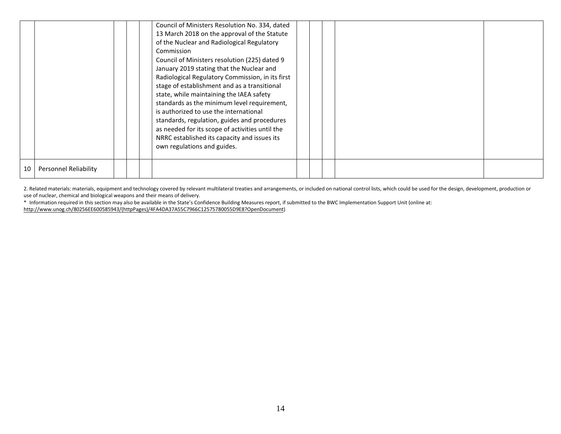|    |                       |  | Council of Ministers Resolution No. 334, dated<br>13 March 2018 on the approval of the Statute<br>of the Nuclear and Radiological Regulatory<br>Commission<br>Council of Ministers resolution (225) dated 9<br>January 2019 stating that the Nuclear and<br>Radiological Regulatory Commission, in its first<br>stage of establishment and as a transitional<br>state, while maintaining the IAEA safety<br>standards as the minimum level requirement,<br>is authorized to use the international<br>standards, regulation, guides and procedures<br>as needed for its scope of activities until the<br>NRRC established its capacity and issues its<br>own regulations and guides. |  |  |  |
|----|-----------------------|--|-------------------------------------------------------------------------------------------------------------------------------------------------------------------------------------------------------------------------------------------------------------------------------------------------------------------------------------------------------------------------------------------------------------------------------------------------------------------------------------------------------------------------------------------------------------------------------------------------------------------------------------------------------------------------------------|--|--|--|
| 10 | Personnel Reliability |  |                                                                                                                                                                                                                                                                                                                                                                                                                                                                                                                                                                                                                                                                                     |  |  |  |

2. Related materials: materials, equipment and technology covered by relevant multilateral treaties and arrangements, or included on national control lists, which could be used for the design, development, production or use of nuclear, chemical and biological weapons and their means of delivery.

\* Information required in this section may also be available in the State's Confidence Building Measures report, if submitted to the BWC Implementation Support Unit (online at:

http://www.unog.ch/80256EE600585943/(httpPages)/4FA4DA37A55C7966C12575780055D9E8?OpenDocument)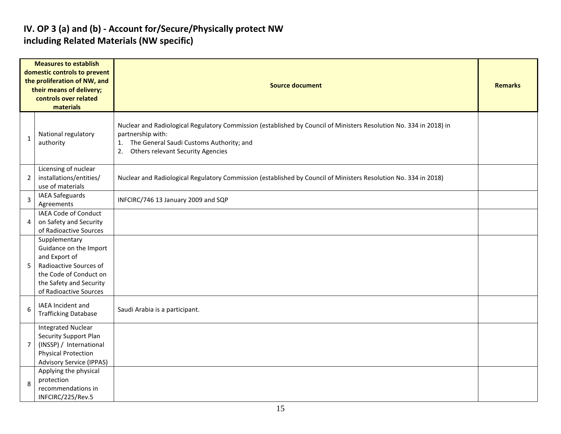# IV. OP 3 (a) and (b) - Account for/Secure/Physically protect NW including Related Materials (NW specific)

|                | <b>Measures to establish</b><br>domestic controls to prevent<br>the proliferation of NW, and<br>their means of delivery;<br>controls over related<br>materials    | <b>Source document</b>                                                                                                                                                                                                                      | <b>Remarks</b> |
|----------------|-------------------------------------------------------------------------------------------------------------------------------------------------------------------|---------------------------------------------------------------------------------------------------------------------------------------------------------------------------------------------------------------------------------------------|----------------|
| $\mathbf{1}$   | National regulatory<br>authority                                                                                                                                  | Nuclear and Radiological Regulatory Commission (established by Council of Ministers Resolution No. 334 in 2018) in<br>partnership with:<br>The General Saudi Customs Authority; and<br>1.<br><b>Others relevant Security Agencies</b><br>2. |                |
| $\overline{2}$ | Licensing of nuclear<br>installations/entities/<br>use of materials                                                                                               | Nuclear and Radiological Regulatory Commission (established by Council of Ministers Resolution No. 334 in 2018)                                                                                                                             |                |
| $\overline{3}$ | <b>IAEA Safeguards</b><br>Agreements                                                                                                                              | INFCIRC/746 13 January 2009 and SQP                                                                                                                                                                                                         |                |
| 4              | <b>IAEA Code of Conduct</b><br>on Safety and Security<br>of Radioactive Sources                                                                                   |                                                                                                                                                                                                                                             |                |
| 5              | Supplementary<br>Guidance on the Import<br>and Export of<br>Radioactive Sources of<br>the Code of Conduct on<br>the Safety and Security<br>of Radioactive Sources |                                                                                                                                                                                                                                             |                |
| 6              | IAEA Incident and<br><b>Trafficking Database</b>                                                                                                                  | Saudi Arabia is a participant.                                                                                                                                                                                                              |                |
| $\overline{7}$ | <b>Integrated Nuclear</b><br><b>Security Support Plan</b><br>(INSSP) / International<br><b>Physical Protection</b><br><b>Advisory Service (IPPAS)</b>             |                                                                                                                                                                                                                                             |                |
| 8              | Applying the physical<br>protection<br>recommendations in<br>INFCIRC/225/Rev.5                                                                                    |                                                                                                                                                                                                                                             |                |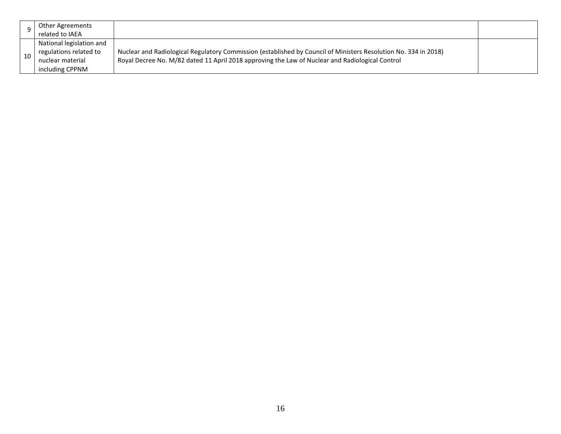| Other Agreements<br>related to IAEA                                                       |                                                                                                                                                                                                                    |  |
|-------------------------------------------------------------------------------------------|--------------------------------------------------------------------------------------------------------------------------------------------------------------------------------------------------------------------|--|
| National legislation and<br>regulations related to<br>nuclear material<br>including CPPNM | Nuclear and Radiological Regulatory Commission (established by Council of Ministers Resolution No. 334 in 2018)<br>Royal Decree No. M/82 dated 11 April 2018 approving the Law of Nuclear and Radiological Control |  |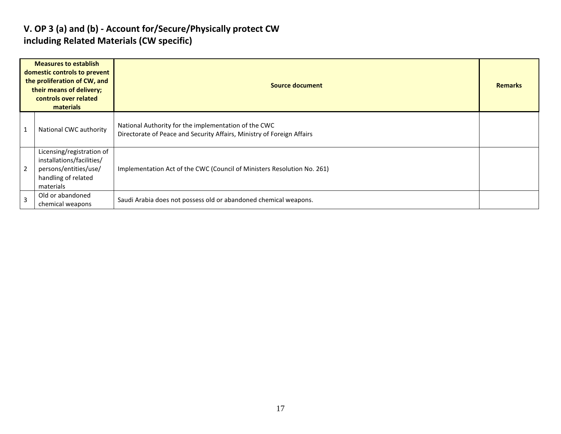# V. OP 3 (a) and (b) - Account for/Secure/Physically protect CW including Related Materials (CW specific)

|   | <b>Measures to establish</b><br>domestic controls to prevent<br>the proliferation of CW, and<br>their means of delivery;<br>controls over related<br>materials | Source document                                                                                                                |  |  |  |  |  |  |
|---|----------------------------------------------------------------------------------------------------------------------------------------------------------------|--------------------------------------------------------------------------------------------------------------------------------|--|--|--|--|--|--|
|   | National CWC authority                                                                                                                                         | National Authority for the implementation of the CWC<br>Directorate of Peace and Security Affairs, Ministry of Foreign Affairs |  |  |  |  |  |  |
| 2 | Licensing/registration of<br>installations/facilities/<br>persons/entities/use/<br>handling of related<br>materials                                            | Implementation Act of the CWC (Council of Ministers Resolution No. 261)                                                        |  |  |  |  |  |  |
| 3 | Old or abandoned<br>chemical weapons                                                                                                                           | Saudi Arabia does not possess old or abandoned chemical weapons.                                                               |  |  |  |  |  |  |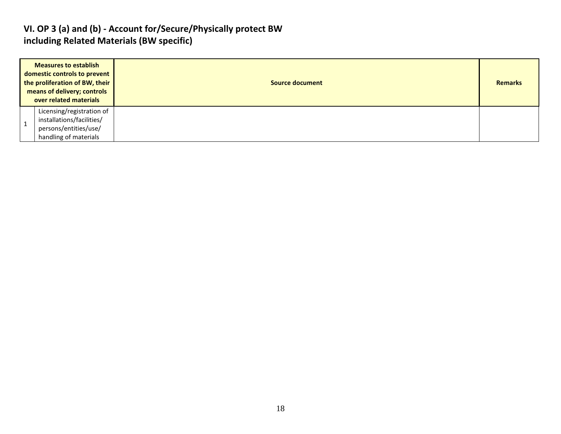#### VI. OP 3 (a) and (b) - Account for/Secure/Physically protect BW including Related Materials (BW specific)

| <b>Measures to establish</b><br>domestic controls to prevent<br>the proliferation of BW, their<br><b>Source document</b><br>means of delivery; controls<br>over related materials<br>Licensing/registration of<br>installations/facilities/<br>persons/entities/use/ | <b>Remarks</b> |
|----------------------------------------------------------------------------------------------------------------------------------------------------------------------------------------------------------------------------------------------------------------------|----------------|
| handling of materials                                                                                                                                                                                                                                                |                |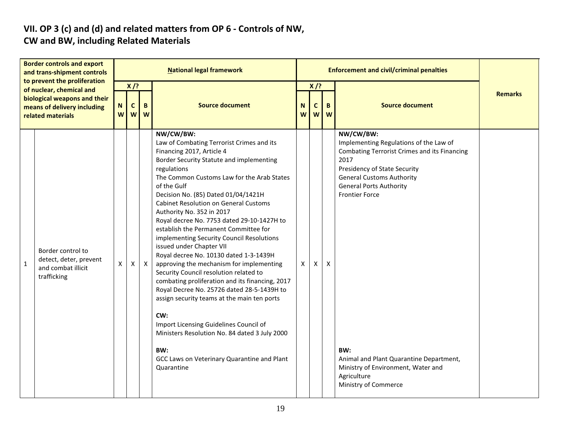# VII. OP 3 (c) and (d) and related matters from OP 6 - Controls of NW, CW and BW, including Related Materials

|              |                                                                                                                                                                                                                                       |        |                             |              | <b>National legal framework</b>                                                                                                                                                                                                                                                                                                                                                                                                                                                                                                                                                                                                                                                                                                                                                                                                                                                                                                                       |        |                            | <b>Enforcement and civil/criminal penalties</b> |                                                                                                                                                                                                                                                                                                                                                                                  |                |
|--------------|---------------------------------------------------------------------------------------------------------------------------------------------------------------------------------------------------------------------------------------|--------|-----------------------------|--------------|-------------------------------------------------------------------------------------------------------------------------------------------------------------------------------------------------------------------------------------------------------------------------------------------------------------------------------------------------------------------------------------------------------------------------------------------------------------------------------------------------------------------------------------------------------------------------------------------------------------------------------------------------------------------------------------------------------------------------------------------------------------------------------------------------------------------------------------------------------------------------------------------------------------------------------------------------------|--------|----------------------------|-------------------------------------------------|----------------------------------------------------------------------------------------------------------------------------------------------------------------------------------------------------------------------------------------------------------------------------------------------------------------------------------------------------------------------------------|----------------|
|              | <b>Border controls and export</b><br>and trans-shipment controls<br>to prevent the proliferation<br>of nuclear, chemical and<br>biological weapons and their<br>means of delivery including<br>related materials<br>Border control to | N<br>W | $X$ /?<br>$\mathbf{C}$<br>W | B<br>W       | <b>Source document</b>                                                                                                                                                                                                                                                                                                                                                                                                                                                                                                                                                                                                                                                                                                                                                                                                                                                                                                                                | N<br>W | $X$ /?<br>$\mathbf c$<br>W | B<br>W                                          | <b>Source document</b>                                                                                                                                                                                                                                                                                                                                                           | <b>Remarks</b> |
| $\mathbf{1}$ | detect, deter, prevent<br>and combat illicit<br>trafficking                                                                                                                                                                           | X      | X                           | $\mathsf{X}$ | NW/CW/BW:<br>Law of Combating Terrorist Crimes and its<br>Financing 2017, Article 4<br>Border Security Statute and implementing<br>regulations<br>The Common Customs Law for the Arab States<br>of the Gulf<br>Decision No. (85) Dated 01/04/1421H<br><b>Cabinet Resolution on General Customs</b><br>Authority No. 352 in 2017<br>Royal decree No. 7753 dated 29-10-1427H to<br>establish the Permanent Committee for<br>implementing Security Council Resolutions<br>issued under Chapter VII<br>Royal decree No. 10130 dated 1-3-1439H<br>approving the mechanism for implementing<br>Security Council resolution related to<br>combating proliferation and its financing, 2017<br>Royal Decree No. 25726 dated 28-5-1439H to<br>assign security teams at the main ten ports<br>CW:<br>Import Licensing Guidelines Council of<br>Ministers Resolution No. 84 dated 3 July 2000<br>BW:<br>GCC Laws on Veterinary Quarantine and Plant<br>Quarantine | X      | X                          | X                                               | NW/CW/BW:<br>Implementing Regulations of the Law of<br><b>Combating Terrorist Crimes and its Financing</b><br>2017<br>Presidency of State Security<br><b>General Customs Authority</b><br><b>General Ports Authority</b><br><b>Frontier Force</b><br>BW:<br>Animal and Plant Quarantine Department,<br>Ministry of Environment, Water and<br>Agriculture<br>Ministry of Commerce |                |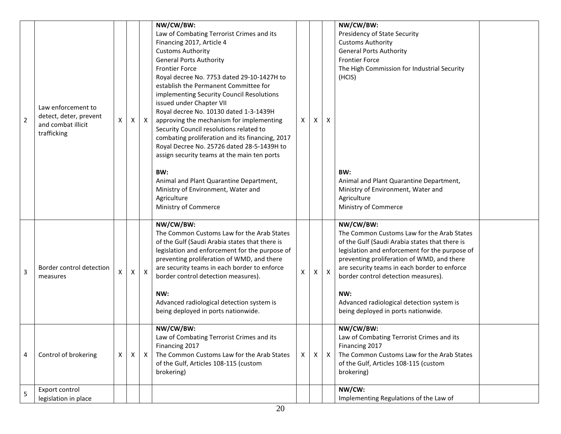|                |                          |   |    |              | NW/CW/BW:                                                                                        |              |    |              | NW/CW/BW:                                                                                        |  |
|----------------|--------------------------|---|----|--------------|--------------------------------------------------------------------------------------------------|--------------|----|--------------|--------------------------------------------------------------------------------------------------|--|
|                |                          |   |    |              | Law of Combating Terrorist Crimes and its                                                        |              |    |              | Presidency of State Security                                                                     |  |
|                |                          |   |    |              | Financing 2017, Article 4                                                                        |              |    |              | <b>Customs Authority</b>                                                                         |  |
|                |                          |   |    |              | <b>Customs Authority</b>                                                                         |              |    |              | <b>General Ports Authority</b>                                                                   |  |
|                |                          |   |    |              | <b>General Ports Authority</b>                                                                   |              |    |              | <b>Frontier Force</b>                                                                            |  |
|                |                          |   |    |              | <b>Frontier Force</b>                                                                            |              |    |              | The High Commission for Industrial Security                                                      |  |
|                |                          |   |    |              | Royal decree No. 7753 dated 29-10-1427H to<br>establish the Permanent Committee for              |              |    |              | (HCIS)                                                                                           |  |
|                |                          |   |    |              | implementing Security Council Resolutions                                                        |              |    |              |                                                                                                  |  |
|                |                          |   |    |              | issued under Chapter VII                                                                         |              |    |              |                                                                                                  |  |
|                | Law enforcement to       |   |    |              | Royal decree No. 10130 dated 1-3-1439H                                                           |              |    |              |                                                                                                  |  |
| $\overline{2}$ | detect, deter, prevent   | X | X  | $\mathsf{X}$ | approving the mechanism for implementing                                                         | X            | X  | X            |                                                                                                  |  |
|                | and combat illicit       |   |    |              | Security Council resolutions related to                                                          |              |    |              |                                                                                                  |  |
|                | trafficking              |   |    |              | combating proliferation and its financing, 2017                                                  |              |    |              |                                                                                                  |  |
|                |                          |   |    |              | Royal Decree No. 25726 dated 28-5-1439H to                                                       |              |    |              |                                                                                                  |  |
|                |                          |   |    |              | assign security teams at the main ten ports                                                      |              |    |              |                                                                                                  |  |
|                |                          |   |    |              |                                                                                                  |              |    |              |                                                                                                  |  |
|                |                          |   |    |              | BW:<br>Animal and Plant Quarantine Department,                                                   |              |    |              | BW:<br>Animal and Plant Quarantine Department,                                                   |  |
|                |                          |   |    |              | Ministry of Environment, Water and                                                               |              |    |              | Ministry of Environment, Water and                                                               |  |
|                |                          |   |    |              | Agriculture                                                                                      |              |    |              | Agriculture                                                                                      |  |
|                |                          |   |    |              | Ministry of Commerce                                                                             |              |    |              | Ministry of Commerce                                                                             |  |
|                |                          |   |    |              |                                                                                                  |              |    |              |                                                                                                  |  |
|                |                          |   |    |              | NW/CW/BW:                                                                                        |              |    |              | NW/CW/BW:                                                                                        |  |
|                |                          |   |    |              | The Common Customs Law for the Arab States                                                       |              |    |              | The Common Customs Law for the Arab States                                                       |  |
|                |                          |   |    |              | of the Gulf (Saudi Arabia states that there is<br>legislation and enforcement for the purpose of |              |    |              | of the Gulf (Saudi Arabia states that there is<br>legislation and enforcement for the purpose of |  |
|                |                          |   |    |              | preventing proliferation of WMD, and there                                                       |              |    |              | preventing proliferation of WMD, and there                                                       |  |
|                | Border control detection |   |    |              | are security teams in each border to enforce                                                     |              |    |              | are security teams in each border to enforce                                                     |  |
| 3              | measures                 | X | X  | $\mathsf{X}$ | border control detection measures).                                                              | $\sf X$      | X. | $\mathsf{X}$ | border control detection measures).                                                              |  |
|                |                          |   |    |              |                                                                                                  |              |    |              |                                                                                                  |  |
|                |                          |   |    |              | NW:                                                                                              |              |    |              | NW:                                                                                              |  |
|                |                          |   |    |              | Advanced radiological detection system is                                                        |              |    |              | Advanced radiological detection system is                                                        |  |
|                |                          |   |    |              | being deployed in ports nationwide.                                                              |              |    |              | being deployed in ports nationwide.                                                              |  |
|                |                          |   |    |              | NW/CW/BW:                                                                                        |              |    |              | NW/CW/BW:                                                                                        |  |
|                |                          |   |    |              | Law of Combating Terrorist Crimes and its                                                        |              |    |              | Law of Combating Terrorist Crimes and its                                                        |  |
|                |                          |   |    |              | Financing 2017                                                                                   |              |    |              | Financing 2017                                                                                   |  |
| 4              | Control of brokering     | X | X. | $\mathsf{X}$ | The Common Customs Law for the Arab States                                                       | $\mathsf{X}$ | X  | $\mathsf{X}$ | The Common Customs Law for the Arab States                                                       |  |
|                |                          |   |    |              | of the Gulf, Articles 108-115 (custom                                                            |              |    |              | of the Gulf, Articles 108-115 (custom                                                            |  |
|                |                          |   |    |              | brokering)                                                                                       |              |    |              | brokering)                                                                                       |  |
|                | Export control           |   |    |              |                                                                                                  |              |    |              | NW/CW:                                                                                           |  |
| 5              | legislation in place     |   |    |              |                                                                                                  |              |    |              | Implementing Regulations of the Law of                                                           |  |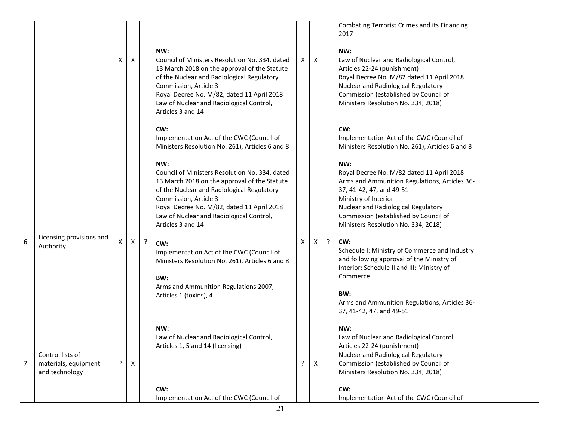|                |                                                            | X | $\mathsf{X}$     |         | NW:<br>Council of Ministers Resolution No. 334, dated<br>13 March 2018 on the approval of the Statute<br>of the Nuclear and Radiological Regulatory<br>Commission, Article 3<br>Royal Decree No. M/82, dated 11 April 2018<br>Law of Nuclear and Radiological Control,<br>Articles 3 and 14<br>CW:<br>Implementation Act of the CWC (Council of<br>Ministers Resolution No. 261), Articles 6 and 8                                                                           | X | $\mathsf{X}$ |         | Combating Terrorist Crimes and its Financing<br>2017<br>NW:<br>Law of Nuclear and Radiological Control,<br>Articles 22-24 (punishment)<br>Royal Decree No. M/82 dated 11 April 2018<br>Nuclear and Radiological Regulatory<br>Commission (established by Council of<br>Ministers Resolution No. 334, 2018)<br>CW:<br>Implementation Act of the CWC (Council of<br>Ministers Resolution No. 261), Articles 6 and 8                                                                                                               |  |
|----------------|------------------------------------------------------------|---|------------------|---------|------------------------------------------------------------------------------------------------------------------------------------------------------------------------------------------------------------------------------------------------------------------------------------------------------------------------------------------------------------------------------------------------------------------------------------------------------------------------------|---|--------------|---------|---------------------------------------------------------------------------------------------------------------------------------------------------------------------------------------------------------------------------------------------------------------------------------------------------------------------------------------------------------------------------------------------------------------------------------------------------------------------------------------------------------------------------------|--|
| 6              | Licensing provisions and<br>Authority                      | X | $\boldsymbol{X}$ | $\cdot$ | NW:<br>Council of Ministers Resolution No. 334, dated<br>13 March 2018 on the approval of the Statute<br>of the Nuclear and Radiological Regulatory<br>Commission, Article 3<br>Royal Decree No. M/82, dated 11 April 2018<br>Law of Nuclear and Radiological Control,<br>Articles 3 and 14<br>CW:<br>Implementation Act of the CWC (Council of<br>Ministers Resolution No. 261), Articles 6 and 8<br>BW:<br>Arms and Ammunition Regulations 2007,<br>Articles 1 (toxins), 4 | X | X            | $\cdot$ | NW:<br>Royal Decree No. M/82 dated 11 April 2018<br>Arms and Ammunition Regulations, Articles 36-<br>37, 41-42, 47, and 49-51<br>Ministry of Interior<br>Nuclear and Radiological Regulatory<br>Commission (established by Council of<br>Ministers Resolution No. 334, 2018)<br>CW:<br>Schedule I: Ministry of Commerce and Industry<br>and following approval of the Ministry of<br>Interior: Schedule II and III: Ministry of<br>Commerce<br>BW:<br>Arms and Ammunition Regulations, Articles 36-<br>37, 41-42, 47, and 49-51 |  |
| $\overline{7}$ | Control lists of<br>materials, equipment<br>and technology | ? | $\pmb{\times}$   |         | NW:<br>Law of Nuclear and Radiological Control,<br>Articles 1, 5 and 14 (licensing)<br>CW:<br>Implementation Act of the CWC (Council of                                                                                                                                                                                                                                                                                                                                      | ? | X            |         | NW:<br>Law of Nuclear and Radiological Control,<br>Articles 22-24 (punishment)<br>Nuclear and Radiological Regulatory<br>Commission (established by Council of<br>Ministers Resolution No. 334, 2018)<br>CW:<br>Implementation Act of the CWC (Council of                                                                                                                                                                                                                                                                       |  |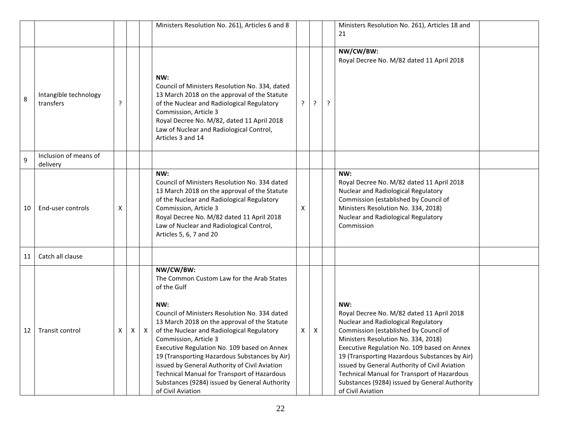|    |                                    |   |   |              | Ministers Resolution No. 261), Articles 6 and 8                                                                                                                                                                                                                                                                                                                                                                                                                                                                            |   |   |   | Ministers Resolution No. 261), Articles 18 and<br>21                                                                                                                                                                                                                                                                                                                                                                                          |  |
|----|------------------------------------|---|---|--------------|----------------------------------------------------------------------------------------------------------------------------------------------------------------------------------------------------------------------------------------------------------------------------------------------------------------------------------------------------------------------------------------------------------------------------------------------------------------------------------------------------------------------------|---|---|---|-----------------------------------------------------------------------------------------------------------------------------------------------------------------------------------------------------------------------------------------------------------------------------------------------------------------------------------------------------------------------------------------------------------------------------------------------|--|
| 8  | Intangible technology<br>transfers | ? |   |              | NW:<br>Council of Ministers Resolution No. 334, dated<br>13 March 2018 on the approval of the Statute<br>of the Nuclear and Radiological Regulatory<br>Commission, Article 3<br>Royal Decree No. M/82, dated 11 April 2018<br>Law of Nuclear and Radiological Control,<br>Articles 3 and 14                                                                                                                                                                                                                                | ? | ? | ? | NW/CW/BW:<br>Royal Decree No. M/82 dated 11 April 2018                                                                                                                                                                                                                                                                                                                                                                                        |  |
| 9  | Inclusion of means of<br>delivery  |   |   |              |                                                                                                                                                                                                                                                                                                                                                                                                                                                                                                                            |   |   |   |                                                                                                                                                                                                                                                                                                                                                                                                                                               |  |
| 10 | End-user controls                  | Χ |   |              | NW:<br>Council of Ministers Resolution No. 334 dated<br>13 March 2018 on the approval of the Statute<br>of the Nuclear and Radiological Regulatory<br>Commission, Article 3<br>Royal Decree No. M/82 dated 11 April 2018<br>Law of Nuclear and Radiological Control,<br>Articles 5, 6, 7 and 20                                                                                                                                                                                                                            | X |   |   | NW:<br>Royal Decree No. M/82 dated 11 April 2018<br>Nuclear and Radiological Regulatory<br>Commission (established by Council of<br>Ministers Resolution No. 334, 2018)<br>Nuclear and Radiological Regulatory<br>Commission                                                                                                                                                                                                                  |  |
| 11 | Catch all clause                   |   |   |              |                                                                                                                                                                                                                                                                                                                                                                                                                                                                                                                            |   |   |   |                                                                                                                                                                                                                                                                                                                                                                                                                                               |  |
| 12 | Transit control                    | X | X | $\mathsf{X}$ | NW/CW/BW:<br>The Common Custom Law for the Arab States<br>of the Gulf<br>NW:<br>Council of Ministers Resolution No. 334 dated<br>13 March 2018 on the approval of the Statute<br>of the Nuclear and Radiological Regulatory<br>Commission, Article 3<br>Executive Regulation No. 109 based on Annex<br>19 (Transporting Hazardous Substances by Air)<br>issued by General Authority of Civil Aviation<br>Technical Manual for Transport of Hazardous<br>Substances (9284) issued by General Authority<br>of Civil Aviation | X | X |   | NW:<br>Royal Decree No. M/82 dated 11 April 2018<br>Nuclear and Radiological Regulatory<br>Commission (established by Council of<br>Ministers Resolution No. 334, 2018)<br>Executive Regulation No. 109 based on Annex<br>19 (Transporting Hazardous Substances by Air)<br>issued by General Authority of Civil Aviation<br>Technical Manual for Transport of Hazardous<br>Substances (9284) issued by General Authority<br>of Civil Aviation |  |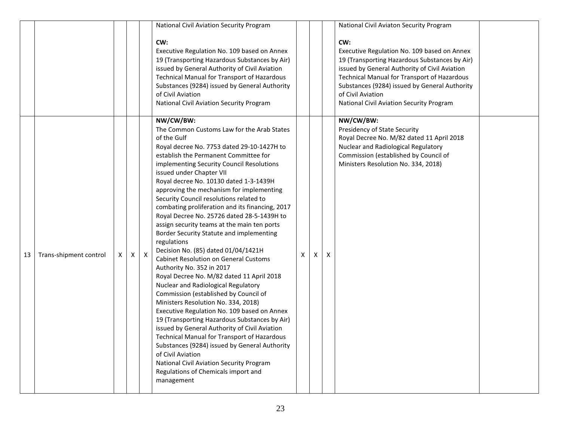|    |                        |    |          |              | National Civil Aviation Security Program                                                                                                                                                                                                                                                                                                                                                                                                                                                                                                                                                                                                                                                                                                                                                                                                                                                                                                                                                                                                                                                                                                                                                                                                          |   |   |   | National Civil Aviaton Security Program                                                                                                                                                                                                                                                                               |  |
|----|------------------------|----|----------|--------------|---------------------------------------------------------------------------------------------------------------------------------------------------------------------------------------------------------------------------------------------------------------------------------------------------------------------------------------------------------------------------------------------------------------------------------------------------------------------------------------------------------------------------------------------------------------------------------------------------------------------------------------------------------------------------------------------------------------------------------------------------------------------------------------------------------------------------------------------------------------------------------------------------------------------------------------------------------------------------------------------------------------------------------------------------------------------------------------------------------------------------------------------------------------------------------------------------------------------------------------------------|---|---|---|-----------------------------------------------------------------------------------------------------------------------------------------------------------------------------------------------------------------------------------------------------------------------------------------------------------------------|--|
|    |                        |    |          |              | CW:<br>Executive Regulation No. 109 based on Annex<br>19 (Transporting Hazardous Substances by Air)<br>issued by General Authority of Civil Aviation<br>Technical Manual for Transport of Hazardous<br>Substances (9284) issued by General Authority<br>of Civil Aviation<br>National Civil Aviation Security Program                                                                                                                                                                                                                                                                                                                                                                                                                                                                                                                                                                                                                                                                                                                                                                                                                                                                                                                             |   |   |   | CW:<br>Executive Regulation No. 109 based on Annex<br>19 (Transporting Hazardous Substances by Air)<br>issued by General Authority of Civil Aviation<br>Technical Manual for Transport of Hazardous<br>Substances (9284) issued by General Authority<br>of Civil Aviation<br>National Civil Aviation Security Program |  |
| 13 | Trans-shipment control | X. | $\times$ | $\mathsf{X}$ | NW/CW/BW:<br>The Common Customs Law for the Arab States<br>of the Gulf<br>Royal decree No. 7753 dated 29-10-1427H to<br>establish the Permanent Committee for<br>implementing Security Council Resolutions<br>issued under Chapter VII<br>Royal decree No. 10130 dated 1-3-1439H<br>approving the mechanism for implementing<br>Security Council resolutions related to<br>combating proliferation and its financing, 2017<br>Royal Decree No. 25726 dated 28-5-1439H to<br>assign security teams at the main ten ports<br>Border Security Statute and implementing<br>regulations<br>Decision No. (85) dated 01/04/1421H<br><b>Cabinet Resolution on General Customs</b><br>Authority No. 352 in 2017<br>Royal Decree No. M/82 dated 11 April 2018<br>Nuclear and Radiological Regulatory<br>Commission (established by Council of<br>Ministers Resolution No. 334, 2018)<br>Executive Regulation No. 109 based on Annex<br>19 (Transporting Hazardous Substances by Air)<br>issued by General Authority of Civil Aviation<br>Technical Manual for Transport of Hazardous<br>Substances (9284) issued by General Authority<br>of Civil Aviation<br>National Civil Aviation Security Program<br>Regulations of Chemicals import and<br>management | X | X | X | NW/CW/BW:<br>Presidency of State Security<br>Royal Decree No. M/82 dated 11 April 2018<br>Nuclear and Radiological Regulatory<br>Commission (established by Council of<br>Ministers Resolution No. 334, 2018)                                                                                                         |  |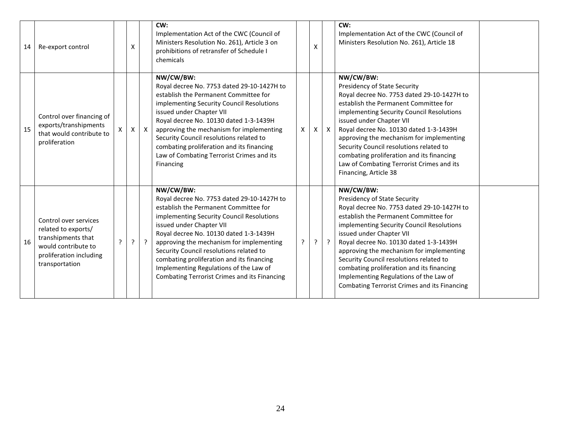| 14 | Re-export control                                                                                                                      |   | X |              | CW:<br>Implementation Act of the CWC (Council of<br>Ministers Resolution No. 261), Article 3 on<br>prohibitions of retransfer of Schedule I<br>chemicals                                                                                                                                                                                                                                                                                          |   | X |              | CW:<br>Implementation Act of the CWC (Council of<br>Ministers Resolution No. 261), Article 18                                                                                                                                                                                                                                                                                                                                                                                     |  |
|----|----------------------------------------------------------------------------------------------------------------------------------------|---|---|--------------|---------------------------------------------------------------------------------------------------------------------------------------------------------------------------------------------------------------------------------------------------------------------------------------------------------------------------------------------------------------------------------------------------------------------------------------------------|---|---|--------------|-----------------------------------------------------------------------------------------------------------------------------------------------------------------------------------------------------------------------------------------------------------------------------------------------------------------------------------------------------------------------------------------------------------------------------------------------------------------------------------|--|
| 15 | Control over financing of<br>exports/transhipments<br>that would contribute to<br>proliferation                                        |   | Χ | $\mathsf{X}$ | NW/CW/BW:<br>Royal decree No. 7753 dated 29-10-1427H to<br>establish the Permanent Committee for<br>implementing Security Council Resolutions<br>issued under Chapter VII<br>Royal decree No. 10130 dated 1-3-1439H<br>approving the mechanism for implementing<br>Security Council resolutions related to<br>combating proliferation and its financing<br>Law of Combating Terrorist Crimes and its<br>Financing                                 | X | X | $\mathsf{X}$ | NW/CW/BW:<br>Presidency of State Security<br>Royal decree No. 7753 dated 29-10-1427H to<br>establish the Permanent Committee for<br>implementing Security Council Resolutions<br>issued under Chapter VII<br>Royal decree No. 10130 dated 1-3-1439H<br>approving the mechanism for implementing<br>Security Council resolutions related to<br>combating proliferation and its financing<br>Law of Combating Terrorist Crimes and its<br>Financing, Article 38                     |  |
| 16 | Control over services<br>related to exports/<br>transhipments that<br>would contribute to<br>proliferation including<br>transportation | ς | ? | $\cdot$      | NW/CW/BW:<br>Royal decree No. 7753 dated 29-10-1427H to<br>establish the Permanent Committee for<br>implementing Security Council Resolutions<br>issued under Chapter VII<br>Royal decree No. 10130 dated 1-3-1439H<br>approving the mechanism for implementing<br>Security Council resolutions related to<br>combating proliferation and its financing<br>Implementing Regulations of the Law of<br>Combating Terrorist Crimes and its Financing | ? | ? | $\cdot$      | NW/CW/BW:<br>Presidency of State Security<br>Royal decree No. 7753 dated 29-10-1427H to<br>establish the Permanent Committee for<br>implementing Security Council Resolutions<br>issued under Chapter VII<br>Royal decree No. 10130 dated 1-3-1439H<br>approving the mechanism for implementing<br>Security Council resolutions related to<br>combating proliferation and its financing<br>Implementing Regulations of the Law of<br>Combating Terrorist Crimes and its Financing |  |